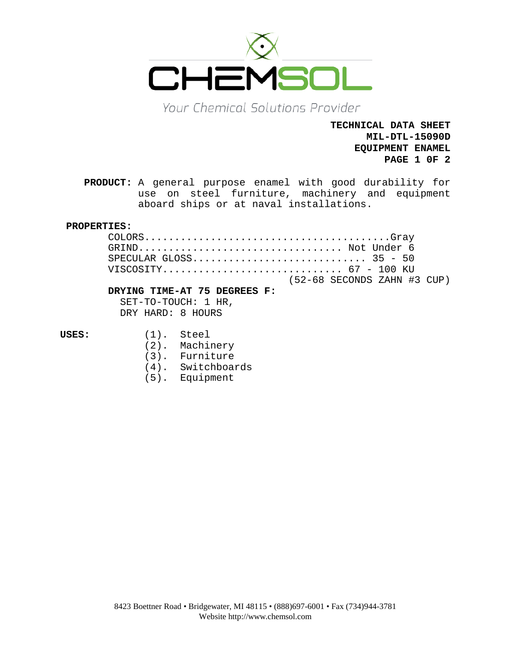

Your Chemical Solutions Provider

**TECHNICAL DATA SHEET MIL-DTL-15090D EQUIPMENT ENAMEL PAGE 1 0F 2**

**PRODUCT:** A general purpose enamel with good durability for use on steel furniture, machinery and equipment aboard ships or at naval installations.

# **PROPERTIES:**

| GRIND Not Under 6           |  |
|-----------------------------|--|
|                             |  |
|                             |  |
| (52-68 SECONDS ZAHN #3 CUP) |  |

## **DRYING TIME-AT 75 DEGREES F:**

SET-TO-TOUCH: 1 HR, DRY HARD: 8 HOURS

- **USES:** (1). Steel
	- (2). Machinery
	- (3). Furniture
	- (4). Switchboards
	- (5). Equipment